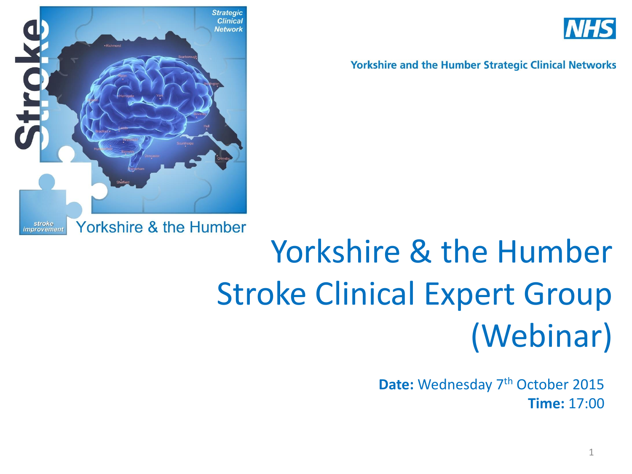



**Yorkshire and the Humber Strategic Clinical Networks** 

# Yorkshire & the Humber Stroke Clinical Expert Group (Webinar)

Date: Wednesday 7<sup>th</sup> October 2015 **Time:** 17:00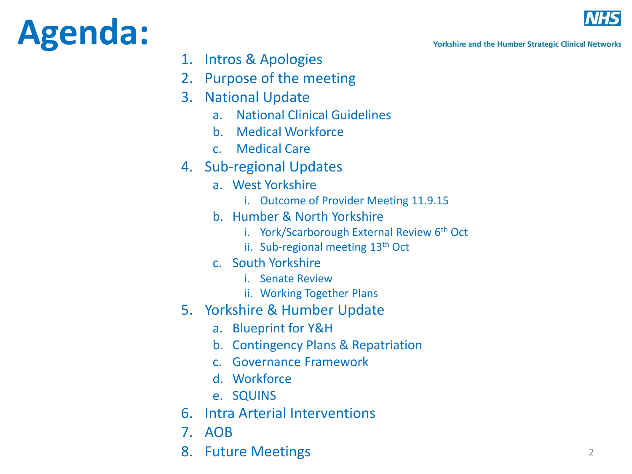## **Agenda:**



**Yorkshire and the Humber Strategic Clinical Networks** 

- 1. Intros & Apologies
- 2. Purpose of the meeting
- 3. National Update
	- a. National Clinical Guidelines
	- b. Medical Workforce
	- c. Medical Care
- 4. Sub-regional Updates
	- a. West Yorkshire
		- i. Outcome of Provider Meeting 11.9.15
	- b. Humber & North Yorkshire
		- i. York/Scarborough External Review  $6<sup>th</sup>$  Oct
		- ii. Sub-regional meeting 13th Oct
	- c. South Yorkshire
		- i. Senate Review
		- ii. Working Together Plans
- 5. Yorkshire & Humber Update
	- a. Blueprint for Y&H
	- b. Contingency Plans & Repatriation
	- c. Governance Framework
	- d. Workforce
	- e. SQUINS
- 6. Intra Arterial Interventions
- 7. AOB
- 8. Future Meetings 2016 2022 2023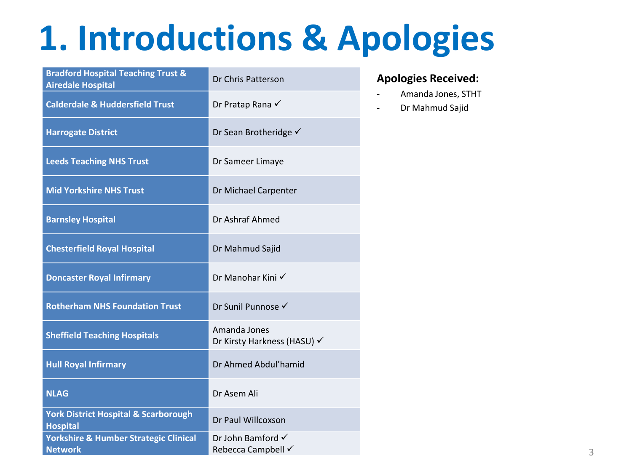## **1. Introductions & Apologies**

| <b>Bradford Hospital Teaching Trust &amp;</b><br><b>Airedale Hospital</b> | Dr Chris Patterson                                 |
|---------------------------------------------------------------------------|----------------------------------------------------|
| <b>Calderdale &amp; Huddersfield Trust</b>                                | Dr Pratap Rana √                                   |
| <b>Harrogate District</b>                                                 | Dr Sean Brotheridge √                              |
| <b>Leeds Teaching NHS Trust</b>                                           | Dr Sameer Limaye                                   |
| <b>Mid Yorkshire NHS Trust</b>                                            | Dr Michael Carpenter                               |
| <b>Barnsley Hospital</b>                                                  | Dr Ashraf Ahmed                                    |
| <b>Chesterfield Royal Hospital</b>                                        | Dr Mahmud Sajid                                    |
| <b>Doncaster Royal Infirmary</b>                                          | Dr Manohar Kini √                                  |
| <b>Rotherham NHS Foundation Trust</b>                                     | Dr Sunil Punnose √                                 |
| <b>Sheffield Teaching Hospitals</b>                                       | Amanda Jones<br>Dr Kirsty Harkness (HASU) √        |
| <b>Hull Royal Infirmary</b>                                               | Dr Ahmed Abdul'hamid                               |
| <b>NLAG</b>                                                               | Dr Asem Ali                                        |
| <b>York District Hospital &amp; Scarborough</b><br><b>Hospital</b>        | Dr Paul Willcoxson                                 |
| <b>Yorkshire &amp; Humber Strategic Clinical</b><br><b>Network</b>        | Dr John Bamford $\checkmark$<br>Rebecca Campbell √ |

#### **Apologies Received:**

- Amanda Jones, STHT
- Dr Mahmud Sajid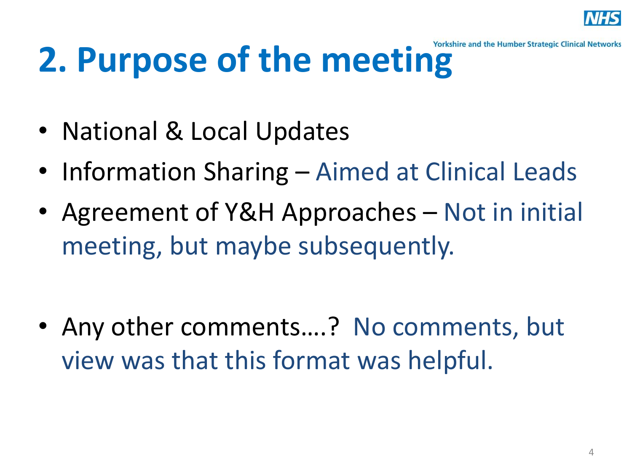

# 2. Purpose of the meeting **Section**

- National & Local Updates
- Information Sharing Aimed at Clinical Leads
- Agreement of Y&H Approaches Not in initial meeting, but maybe subsequently.

• Any other comments….? No comments, but view was that this format was helpful.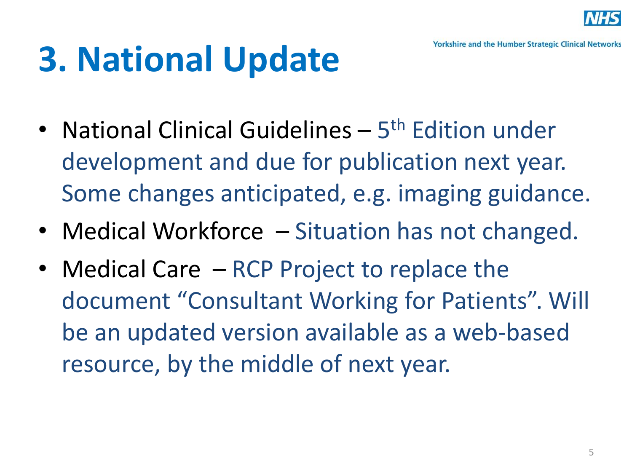

# **3. National Update**

- National Clinical Guidelines 5<sup>th</sup> Edition under development and due for publication next year. Some changes anticipated, e.g. imaging guidance.
- Medical Workforce Situation has not changed.
- Medical Care RCP Project to replace the document "Consultant Working for Patients". Will be an updated version available as a web-based resource, by the middle of next year.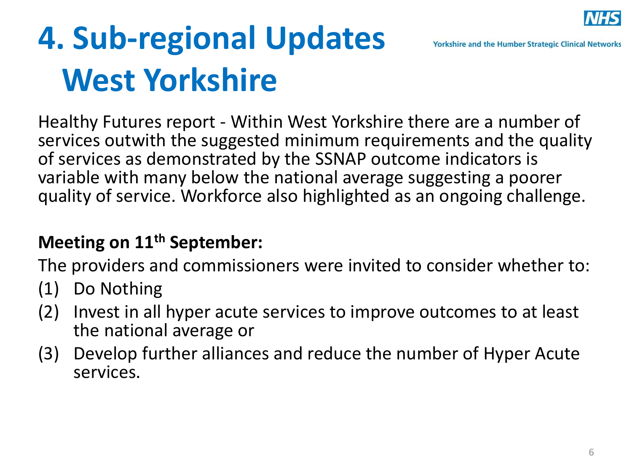

## **4. Sub-regional Updates West Yorkshire**

Healthy Futures report - Within West Yorkshire there are a number of services outwith the suggested minimum requirements and the quality of services as demonstrated by the SSNAP outcome indicators is variable with many below the national average suggesting a poorer quality of service. Workforce also highlighted as an ongoing challenge.

### **Meeting on 11th September:**

The providers and commissioners were invited to consider whether to:

- (1) Do Nothing
- (2) Invest in all hyper acute services to improve outcomes to at least the national average or
- (3) Develop further alliances and reduce the number of Hyper Acute services.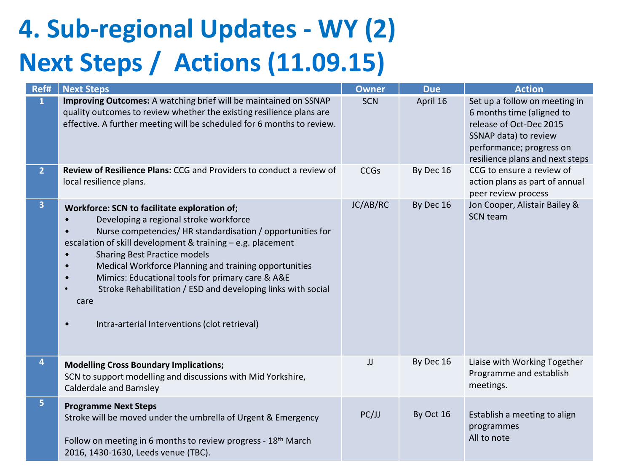## **4. Sub-regional Updates - WY (2) Next Steps / Actions (11.09.15)**

| Ref#           | <b>Next Steps</b>                                                                                                                                                                                                                                                                                                                                                                                                                                                                               | <b>Owner</b> | <b>Due</b> | <b>Action</b>                                                                                                                                                                 |
|----------------|-------------------------------------------------------------------------------------------------------------------------------------------------------------------------------------------------------------------------------------------------------------------------------------------------------------------------------------------------------------------------------------------------------------------------------------------------------------------------------------------------|--------------|------------|-------------------------------------------------------------------------------------------------------------------------------------------------------------------------------|
| 1              | Improving Outcomes: A watching brief will be maintained on SSNAP<br>quality outcomes to review whether the existing resilience plans are<br>effective. A further meeting will be scheduled for 6 months to review.                                                                                                                                                                                                                                                                              | <b>SCN</b>   | April 16   | Set up a follow on meeting in<br>6 months time (aligned to<br>release of Oct-Dec 2015<br>SSNAP data) to review<br>performance; progress on<br>resilience plans and next steps |
| $\overline{2}$ | Review of Resilience Plans: CCG and Providers to conduct a review of<br>local resilience plans.                                                                                                                                                                                                                                                                                                                                                                                                 | <b>CCGs</b>  | By Dec 16  | CCG to ensure a review of<br>action plans as part of annual<br>peer review process                                                                                            |
| 3              | Workforce: SCN to facilitate exploration of;<br>Developing a regional stroke workforce<br>Nurse competencies/HR standardisation / opportunities for<br>escalation of skill development & training - e.g. placement<br><b>Sharing Best Practice models</b><br>Medical Workforce Planning and training opportunities<br>Mimics: Educational tools for primary care & A&E<br>Stroke Rehabilitation / ESD and developing links with social<br>care<br>Intra-arterial Interventions (clot retrieval) | JC/AB/RC     | By Dec 16  | Jon Cooper, Alistair Bailey &<br><b>SCN team</b>                                                                                                                              |
| 4              | <b>Modelling Cross Boundary Implications;</b><br>SCN to support modelling and discussions with Mid Yorkshire,<br><b>Calderdale and Barnsley</b>                                                                                                                                                                                                                                                                                                                                                 | JJ           | By Dec 16  | Liaise with Working Together<br>Programme and establish<br>meetings.                                                                                                          |
| 5              | <b>Programme Next Steps</b><br>Stroke will be moved under the umbrella of Urgent & Emergency<br>Follow on meeting in 6 months to review progress - 18 <sup>th</sup> March<br>2016, 1430-1630, Leeds venue (TBC).                                                                                                                                                                                                                                                                                | PC/JJ        | By Oct 16  | Establish a meeting to align<br>programmes<br>All to note                                                                                                                     |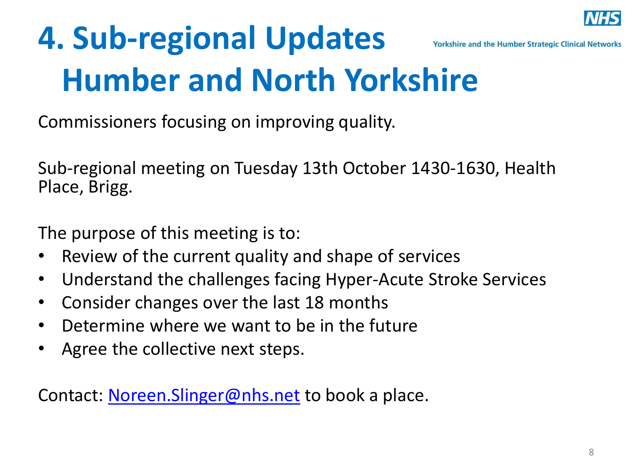

### **4. Sub-regional Updates Yorkshire and the Humber Strategic Clinical Networks Humber and North Yorkshire**

Commissioners focusing on improving quality.

Sub-regional meeting on Tuesday 13th October 1430-1630, Health Place, Brigg.

The purpose of this meeting is to:

- Review of the current quality and shape of services
- Understand the challenges facing Hyper-Acute Stroke Services
- Consider changes over the last 18 months
- Determine where we want to be in the future
- Agree the collective next steps.

Contact: [Noreen.Slinger@nhs.net](mailto:Noreen.Slinger@nhs.net) to book a place.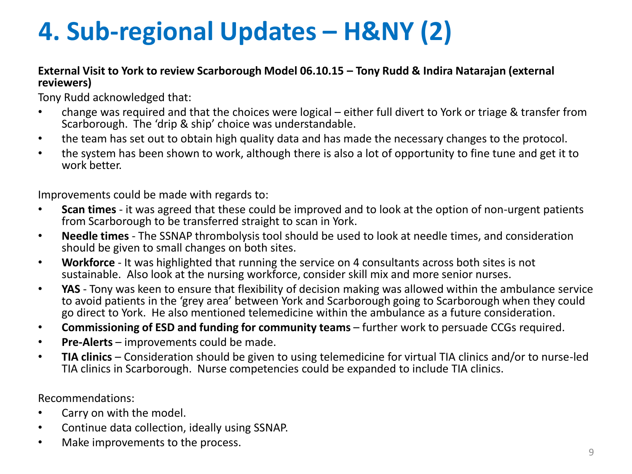### **4. Sub-regional Updates – H&NY (2)**

#### **External Visit to York to review Scarborough Model 06.10.15 – Tony Rudd & Indira Natarajan (external reviewers)**

Tony Rudd acknowledged that:

- change was required and that the choices were logical either full divert to York or triage & transfer from Scarborough. The 'drip & ship' choice was understandable.
- the team has set out to obtain high quality data and has made the necessary changes to the protocol.
- the system has been shown to work, although there is also a lot of opportunity to fine tune and get it to work better.

Improvements could be made with regards to:

- **Scan times**  it was agreed that these could be improved and to look at the option of non-urgent patients from Scarborough to be transferred straight to scan in York.
- **Needle times**  The SSNAP thrombolysis tool should be used to look at needle times, and consideration should be given to small changes on both sites.
- **Workforce** It was highlighted that running the service on 4 consultants across both sites is not sustainable. Also look at the nursing workforce, consider skill mix and more senior nurses.
- **YAS** Tony was keen to ensure that flexibility of decision making was allowed within the ambulance service to avoid patients in the 'grey area' between York and Scarborough going to Scarborough when they could go direct to York. He also mentioned telemedicine within the ambulance as a future consideration.
- **Commissioning of ESD and funding for community teams**  further work to persuade CCGs required.
- **Pre-Alerts** improvements could be made.
- **TIA clinics**  Consideration should be given to using telemedicine for virtual TIA clinics and/or to nurse-led TIA clinics in Scarborough. Nurse competencies could be expanded to include TIA clinics.

Recommendations:

- Carry on with the model.
- Continue data collection, ideally using SSNAP.
- Make improvements to the process.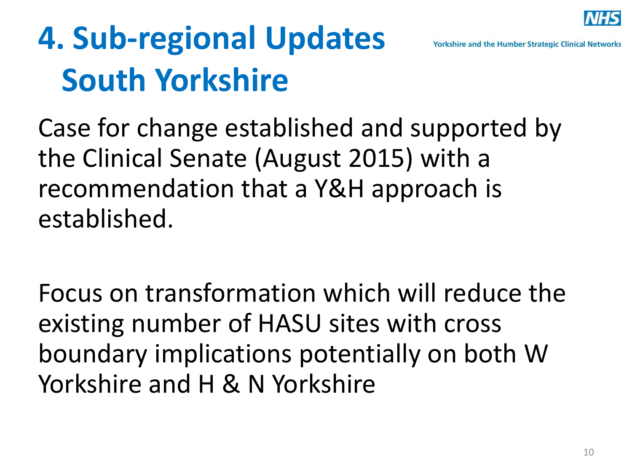

## **4. Sub-regional Updates South Yorkshire**

Case for change established and supported by the Clinical Senate (August 2015) with a recommendation that a Y&H approach is established.

Focus on transformation which will reduce the existing number of HASU sites with cross boundary implications potentially on both W Yorkshire and H & N Yorkshire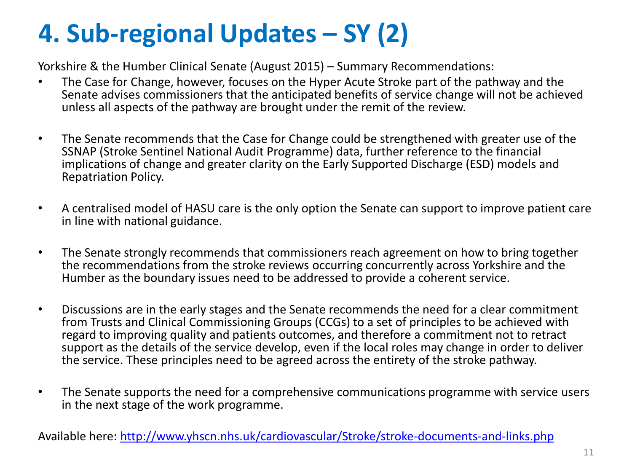## **4. Sub-regional Updates – SY (2)**

Yorkshire & the Humber Clinical Senate (August 2015) – Summary Recommendations:

- The Case for Change, however, focuses on the Hyper Acute Stroke part of the pathway and the Senate advises commissioners that the anticipated benefits of service change will not be achieved unless all aspects of the pathway are brought under the remit of the review.
- The Senate recommends that the Case for Change could be strengthened with greater use of the SSNAP (Stroke Sentinel National Audit Programme) data, further reference to the financial implications of change and greater clarity on the Early Supported Discharge (ESD) models and Repatriation Policy.
- A centralised model of HASU care is the only option the Senate can support to improve patient care in line with national guidance.
- The Senate strongly recommends that commissioners reach agreement on how to bring together the recommendations from the stroke reviews occurring concurrently across Yorkshire and the Humber as the boundary issues need to be addressed to provide a coherent service.
- Discussions are in the early stages and the Senate recommends the need for a clear commitment from Trusts and Clinical Commissioning Groups (CCGs) to a set of principles to be achieved with regard to improving quality and patients outcomes, and therefore a commitment not to retract support as the details of the service develop, even if the local roles may change in order to deliver the service. These principles need to be agreed across the entirety of the stroke pathway.
- The Senate supports the need for a comprehensive communications programme with service users in the next stage of the work programme.

Available here: <http://www.yhscn.nhs.uk/cardiovascular/Stroke/stroke-documents-and-links.php>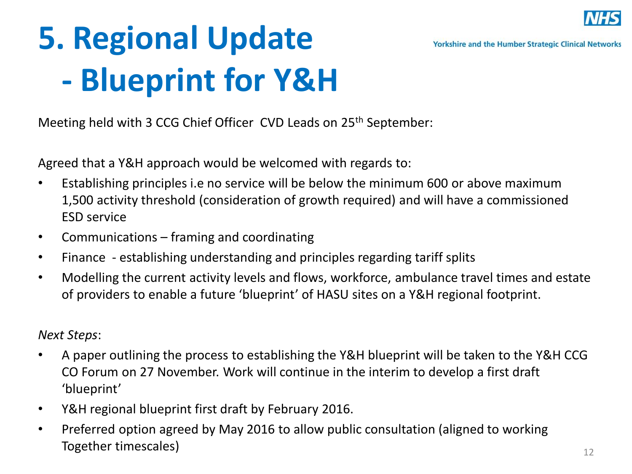

## **5. Regional Update - Blueprint for Y&H**

Meeting held with 3 CCG Chief Officer CVD Leads on 25<sup>th</sup> September:

Agreed that a Y&H approach would be welcomed with regards to:

- Establishing principles i.e no service will be below the minimum 600 or above maximum 1,500 activity threshold (consideration of growth required) and will have a commissioned ESD service
- Communications framing and coordinating
- Finance establishing understanding and principles regarding tariff splits
- Modelling the current activity levels and flows, workforce, ambulance travel times and estate of providers to enable a future 'blueprint' of HASU sites on a Y&H regional footprint.

*Next Steps*:

- A paper outlining the process to establishing the Y&H blueprint will be taken to the Y&H CCG CO Forum on 27 November. Work will continue in the interim to develop a first draft 'blueprint'
- Y&H regional blueprint first draft by February 2016.
- Preferred option agreed by May 2016 to allow public consultation (aligned to working Together timescales)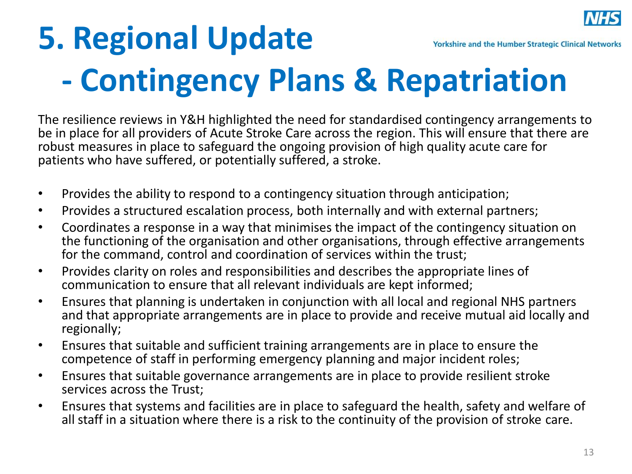

### **5. Regional Update Yorkshire and the Humber Strategic Clinical Networks - Contingency Plans & Repatriation**

The resilience reviews in Y&H highlighted the need for standardised contingency arrangements to be in place for all providers of Acute Stroke Care across the region. This will ensure that there are robust measures in place to safeguard the ongoing provision of high quality acute care for patients who have suffered, or potentially suffered, a stroke.

- Provides the ability to respond to a contingency situation through anticipation;
- Provides a structured escalation process, both internally and with external partners;
- Coordinates a response in a way that minimises the impact of the contingency situation on the functioning of the organisation and other organisations, through effective arrangements for the command, control and coordination of services within the trust;
- Provides clarity on roles and responsibilities and describes the appropriate lines of communication to ensure that all relevant individuals are kept informed;
- Ensures that planning is undertaken in conjunction with all local and regional NHS partners and that appropriate arrangements are in place to provide and receive mutual aid locally and regionally;
- Ensures that suitable and sufficient training arrangements are in place to ensure the competence of staff in performing emergency planning and major incident roles;
- Ensures that suitable governance arrangements are in place to provide resilient stroke services across the Trust;
- Ensures that systems and facilities are in place to safeguard the health, safety and welfare of all staff in a situation where there is a risk to the continuity of the provision of stroke care.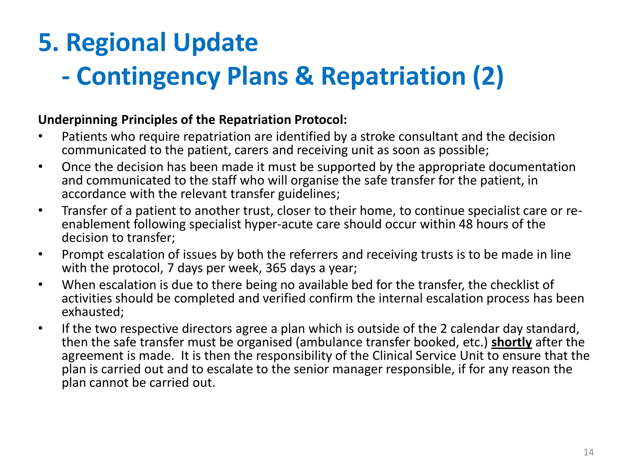### **5. Regional Update**

### **- Contingency Plans & Repatriation (2)**

### **Underpinning Principles of the Repatriation Protocol:**

- Patients who require repatriation are identified by a stroke consultant and the decision communicated to the patient, carers and receiving unit as soon as possible;
- Once the decision has been made it must be supported by the appropriate documentation and communicated to the staff who will organise the safe transfer for the patient, in accordance with the relevant transfer guidelines;
- Transfer of a patient to another trust, closer to their home, to continue specialist care or reenablement following specialist hyper-acute care should occur within 48 hours of the decision to transfer;
- Prompt escalation of issues by both the referrers and receiving trusts is to be made in line with the protocol, 7 days per week, 365 days a year;
- When escalation is due to there being no available bed for the transfer, the checklist of activities should be completed and verified confirm the internal escalation process has been exhausted;
- If the two respective directors agree a plan which is outside of the 2 calendar day standard, then the safe transfer must be organised (ambulance transfer booked, etc.) **shortly** after the agreement is made. It is then the responsibility of the Clinical Service Unit to ensure that the plan is carried out and to escalate to the senior manager responsible, if for any reason the plan cannot be carried out.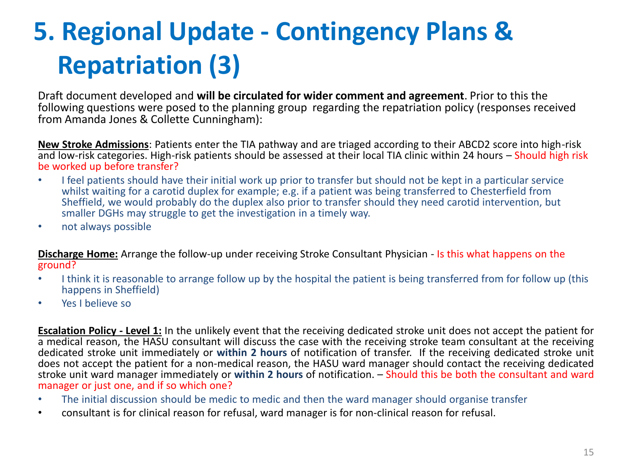## **5. Regional Update - Contingency Plans & Repatriation (3)**

Draft document developed and **will be circulated for wider comment and agreement**. Prior to this the following questions were posed to the planning group regarding the repatriation policy (responses received from Amanda Jones & Collette Cunningham):

**New Stroke Admissions**: Patients enter the TIA pathway and are triaged according to their ABCD2 score into high-risk and low-risk categories. High-risk patients should be assessed at their local TIA clinic within 24 hours – Should high risk be worked up before transfer?

- I feel patients should have their initial work up prior to transfer but should not be kept in a particular service whilst waiting for a carotid duplex for example; e.g. if a patient was being transferred to Chesterfield from Sheffield, we would probably do the duplex also prior to transfer should they need carotid intervention, but smaller DGHs may struggle to get the investigation in a timely way.
- not always possible

**Discharge Home:** Arrange the follow-up under receiving Stroke Consultant Physician - Is this what happens on the ground?

- I think it is reasonable to arrange follow up by the hospital the patient is being transferred from for follow up (this happens in Sheffield)
- Yes I believe so

**Escalation Policy - Level 1:** In the unlikely event that the receiving dedicated stroke unit does not accept the patient for a medical reason, the HASU consultant will discuss the case with the receiving stroke team consultant at the receiving dedicated stroke unit immediately or **within 2 hours** of notification of transfer. If the receiving dedicated stroke unit does not accept the patient for a non-medical reason, the HASU ward manager should contact the receiving dedicated stroke unit ward manager immediately or **within 2 hours** of notification. – Should this be both the consultant and ward manager or just one, and if so which one?

- The initial discussion should be medic to medic and then the ward manager should organise transfer
- consultant is for clinical reason for refusal, ward manager is for non-clinical reason for refusal.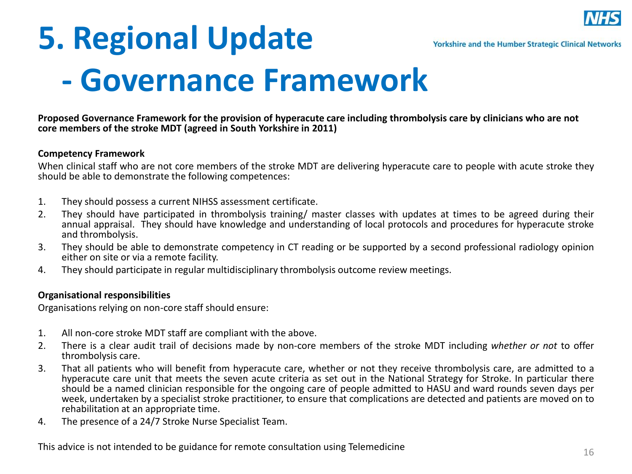

## **5. Regional Update - Governance Framework**

**Proposed Governance Framework for the provision of hyperacute care including thrombolysis care by clinicians who are not core members of the stroke MDT (agreed in South Yorkshire in 2011)**

#### **Competency Framework**

When clinical staff who are not core members of the stroke MDT are delivering hyperacute care to people with acute stroke they should be able to demonstrate the following competences:

- 1. They should possess a current NIHSS assessment certificate.
- 2. They should have participated in thrombolysis training/ master classes with updates at times to be agreed during their annual appraisal. They should have knowledge and understanding of local protocols and procedures for hyperacute stroke and thrombolysis.
- 3. They should be able to demonstrate competency in CT reading or be supported by a second professional radiology opinion either on site or via a remote facility.
- 4. They should participate in regular multidisciplinary thrombolysis outcome review meetings.

#### **Organisational responsibilities**

Organisations relying on non-core staff should ensure:

- 1. All non-core stroke MDT staff are compliant with the above.
- 2. There is a clear audit trail of decisions made by non-core members of the stroke MDT including *whether or not* to offer thrombolysis care.
- 3. That all patients who will benefit from hyperacute care, whether or not they receive thrombolysis care, are admitted to a hyperacute care unit that meets the seven acute criteria as set out in the National Strategy for Stroke. In particular there should be a named clinician responsible for the ongoing care of people admitted to HASU and ward rounds seven days per week, undertaken by a specialist stroke practitioner, to ensure that complications are detected and patients are moved on to rehabilitation at an appropriate time.
- 4. The presence of a 24/7 Stroke Nurse Specialist Team.

This advice is not intended to be guidance for remote consultation using Telemedicine  $16$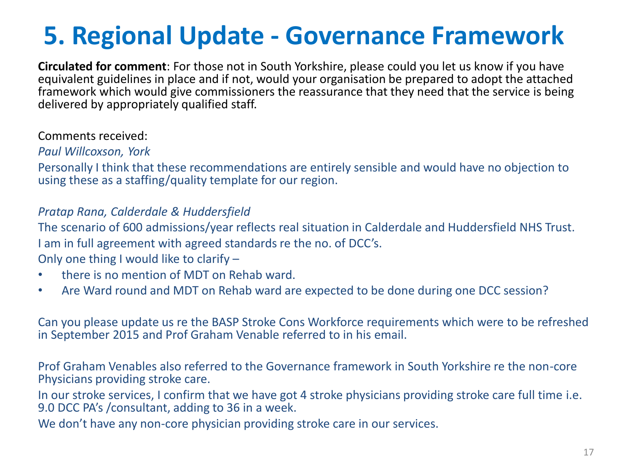### **5. Regional Update - Governance Framework**

**Circulated for comment**: For those not in South Yorkshire, please could you let us know if you have equivalent guidelines in place and if not, would your organisation be prepared to adopt the attached framework which would give commissioners the reassurance that they need that the service is being delivered by appropriately qualified staff.

#### Comments received:

#### *Paul Willcoxson, York*

Personally I think that these recommendations are entirely sensible and would have no objection to using these as a staffing/quality template for our region.

### *Pratap Rana, Calderdale & Huddersfield*

The scenario of 600 admissions/year reflects real situation in Calderdale and Huddersfield NHS Trust. I am in full agreement with agreed standards re the no. of DCC's. Only one thing I would like to clarify –

- there is no mention of MDT on Rehab ward.
- Are Ward round and MDT on Rehab ward are expected to be done during one DCC session?

Can you please update us re the BASP Stroke Cons Workforce requirements which were to be refreshed in September 2015 and Prof Graham Venable referred to in his email.

Prof Graham Venables also referred to the Governance framework in South Yorkshire re the non-core Physicians providing stroke care.

In our stroke services, I confirm that we have got 4 stroke physicians providing stroke care full time i.e. 9.0 DCC PA's /consultant, adding to 36 in a week.

We don't have any non-core physician providing stroke care in our services.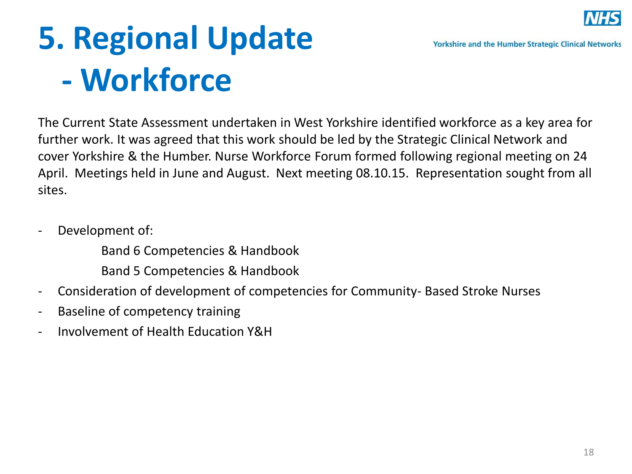

## **5. Regional Update - Workforce**

The Current State Assessment undertaken in West Yorkshire identified workforce as a key area for further work. It was agreed that this work should be led by the Strategic Clinical Network and cover Yorkshire & the Humber. Nurse Workforce Forum formed following regional meeting on 24 April. Meetings held in June and August. Next meeting 08.10.15. Representation sought from all sites.

- Development of:

Band 6 Competencies & Handbook

Band 5 Competencies & Handbook

- Consideration of development of competencies for Community- Based Stroke Nurses
- Baseline of competency training
- Involvement of Health Education Y&H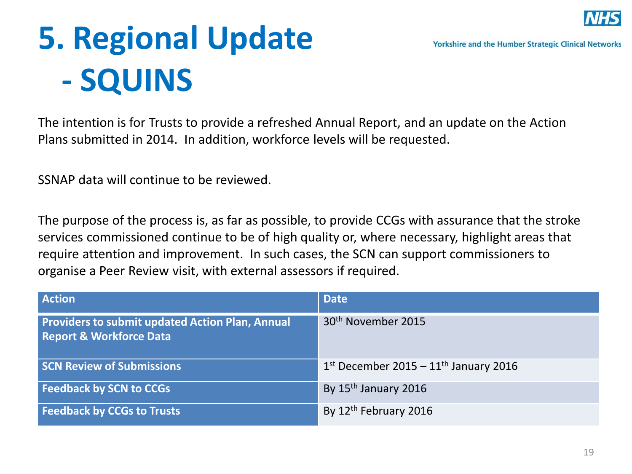

## **5. Regional Update - SQUINS**

The intention is for Trusts to provide a refreshed Annual Report, and an update on the Action Plans submitted in 2014. In addition, workforce levels will be requested.

SSNAP data will continue to be reviewed.

The purpose of the process is, as far as possible, to provide CCGs with assurance that the stroke services commissioned continue to be of high quality or, where necessary, highlight areas that require attention and improvement. In such cases, the SCN can support commissioners to organise a Peer Review visit, with external assessors if required.

| <b>Action</b>                                                                                | <b>Date</b>                               |
|----------------------------------------------------------------------------------------------|-------------------------------------------|
| <b>Providers to submit updated Action Plan, Annual</b><br><b>Report &amp; Workforce Data</b> | 30 <sup>th</sup> November 2015            |
| <b>SCN Review of Submissions</b>                                                             | $1st$ December 2015 – $11th$ January 2016 |
| <b>Feedback by SCN to CCGs</b>                                                               | By 15 <sup>th</sup> January 2016          |
| <b>Feedback by CCGs to Trusts</b>                                                            | By 12 <sup>th</sup> February 2016         |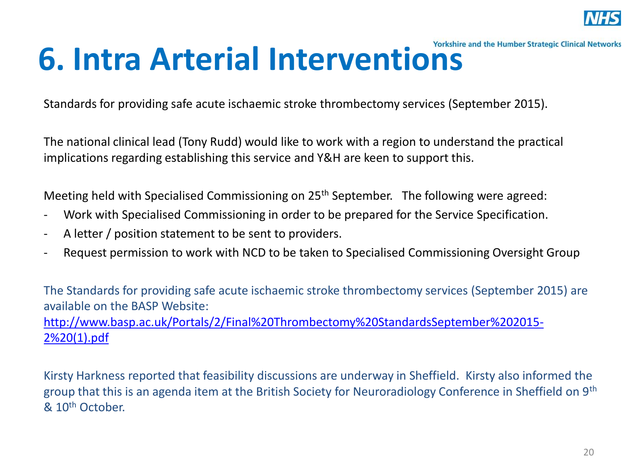

## **6. Intra Arterial Interventions**

Standards for providing safe acute ischaemic stroke thrombectomy services (September 2015).

The national clinical lead (Tony Rudd) would like to work with a region to understand the practical implications regarding establishing this service and Y&H are keen to support this.

Meeting held with Specialised Commissioning on 25<sup>th</sup> September. The following were agreed:

- Work with Specialised Commissioning in order to be prepared for the Service Specification.
- A letter / position statement to be sent to providers.
- Request permission to work with NCD to be taken to Specialised Commissioning Oversight Group

The Standards for providing safe acute ischaemic stroke thrombectomy services (September 2015) are available on the BASP Website:

[http://www.basp.ac.uk/Portals/2/Final%20Thrombectomy%20StandardsSeptember%202015-](http://www.basp.ac.uk/Portals/2/Final Thrombectomy StandardsSeptember 2015-2 (1).pdf) [2%20\(1\).pdf](http://www.basp.ac.uk/Portals/2/Final Thrombectomy StandardsSeptember 2015-2 (1).pdf)

Kirsty Harkness reported that feasibility discussions are underway in Sheffield. Kirsty also informed the group that this is an agenda item at the British Society for Neuroradiology Conference in Sheffield on 9th & 10th October.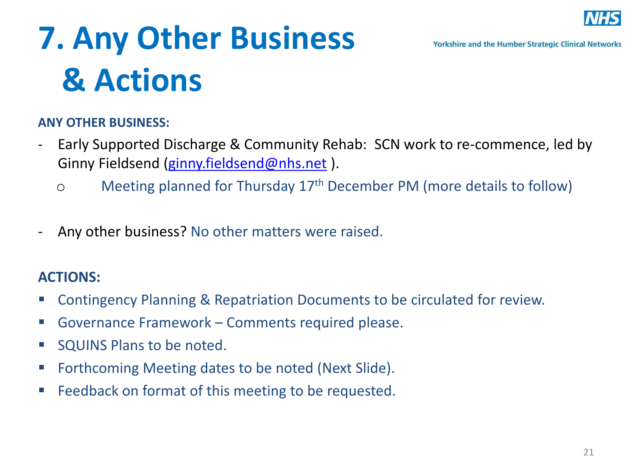

#### **Yorkshire and the Humber Strategic Clinical Networks**

## **7. Any Other Business & Actions**

#### **ANY OTHER BUSINESS:**

- Early Supported Discharge & Community Rehab: SCN work to re-commence, led by Ginny Fieldsend ([ginny.fieldsend@nhs.net](mailto:ginny.fieldsend@nhs.net)).
	- o Meeting planned for Thursday 17th December PM (more details to follow)
- Any other business? No other matters were raised.

### **ACTIONS:**

- Contingency Planning & Repatriation Documents to be circulated for review.
- Governance Framework Comments required please.
- **SQUINS Plans to be noted.**
- Forthcoming Meeting dates to be noted (Next Slide).
- **Feedback on format of this meeting to be requested.**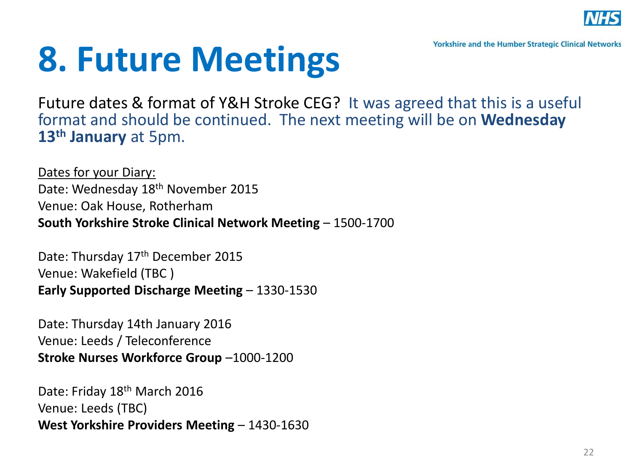

**Yorkshire and the Humber Strategic Clinical Networks** 

## **8. Future Meetings**

Future dates & format of Y&H Stroke CEG? It was agreed that this is a useful format and should be continued. The next meeting will be on **Wednesday 13th January** at 5pm.

Dates for your Diary: Date: Wednesday 18th November 2015 Venue: Oak House, Rotherham **South Yorkshire Stroke Clinical Network Meeting** – 1500-1700

Date: Thursday 17<sup>th</sup> December 2015 Venue: Wakefield (TBC ) **Early Supported Discharge Meeting** – 1330-1530

Date: Thursday 14th January 2016 Venue: Leeds / Teleconference **Stroke Nurses Workforce Group** –1000-1200

Date: Friday 18th March 2016 Venue: Leeds (TBC) **West Yorkshire Providers Meeting** – 1430-1630